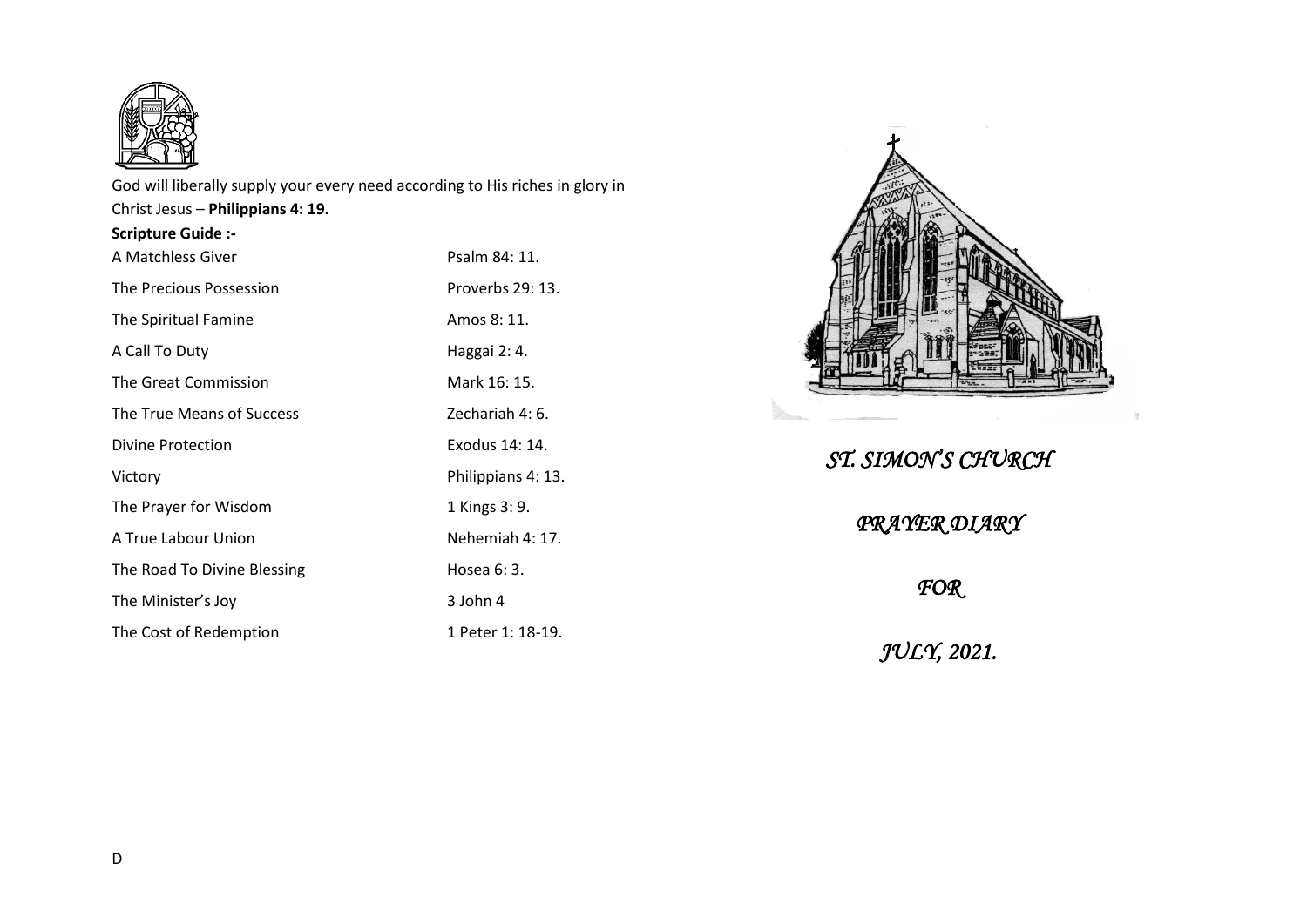

God will liberally supply your every need according to His riches in glory in Christ Jesus – **Philippians 4: 19. Scripture Guide :-**

| A Matchless Giver           | Psalm 84: 11.      |
|-----------------------------|--------------------|
| The Precious Possession     | Proverbs 29: 13.   |
| The Spiritual Famine        | Amos 8: 11.        |
| A Call To Duty              | Haggai 2: 4.       |
| The Great Commission        | Mark 16: 15.       |
| The True Means of Success   | Zechariah 4: 6.    |
| Divine Protection           | Exodus 14: 14.     |
| Victory                     | Philippians 4: 13. |
| The Prayer for Wisdom       | 1 Kings 3: 9.      |
| A True Labour Union         | Nehemiah 4: 17.    |
| The Road To Divine Blessing | Hosea 6: 3.        |
| The Minister's Joy          | 3 John 4           |
| The Cost of Redemption      | 1 Peter 1: 18-19.  |



## *ST. SIMON'S CHURCH*

*PRAYER DIARY* 

*FOR* 

*JULY, 2021.*